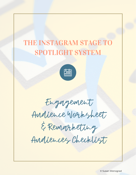# THE INSTAGRAM STAGE TO SPOTLIGHT SYSTEM



Engagement Audience Worksheet & Remarketing Audiences Checklist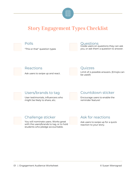

### Story Engagement Types Checklist





"This or that" question types

#### Questions

Guide users on questions they can ask you, or ask them a question to answer.



Ask users to swipe up and react.



#### **Ouizzes**

Limit of 4 possible answers. (Emojis can be used!)

Users/brands to tag **Countdown sticker** 

User testimonials, influencers who might be likely to share, etc.

Encourage users to enable the reminder feature!

#### Challenge sticker

You will nominate users. Works great with the users/brands to tag, or to hold students who pledge accountable.

### Ask for reactions

Ask users to swipe up for a quick reaction to your story.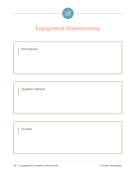

## Engagement Brainstorming

Poll Options

Question Options

Quizzes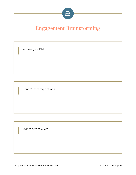

### Engagement Brainstorming

Encourage a DM

Brands/users tag options

Countdown stickers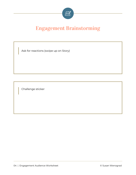

### Engagement Brainstorming

Ask for reactions (swipe up on Story)

Challenge sticker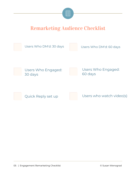

### Remarketing Audience Checklist